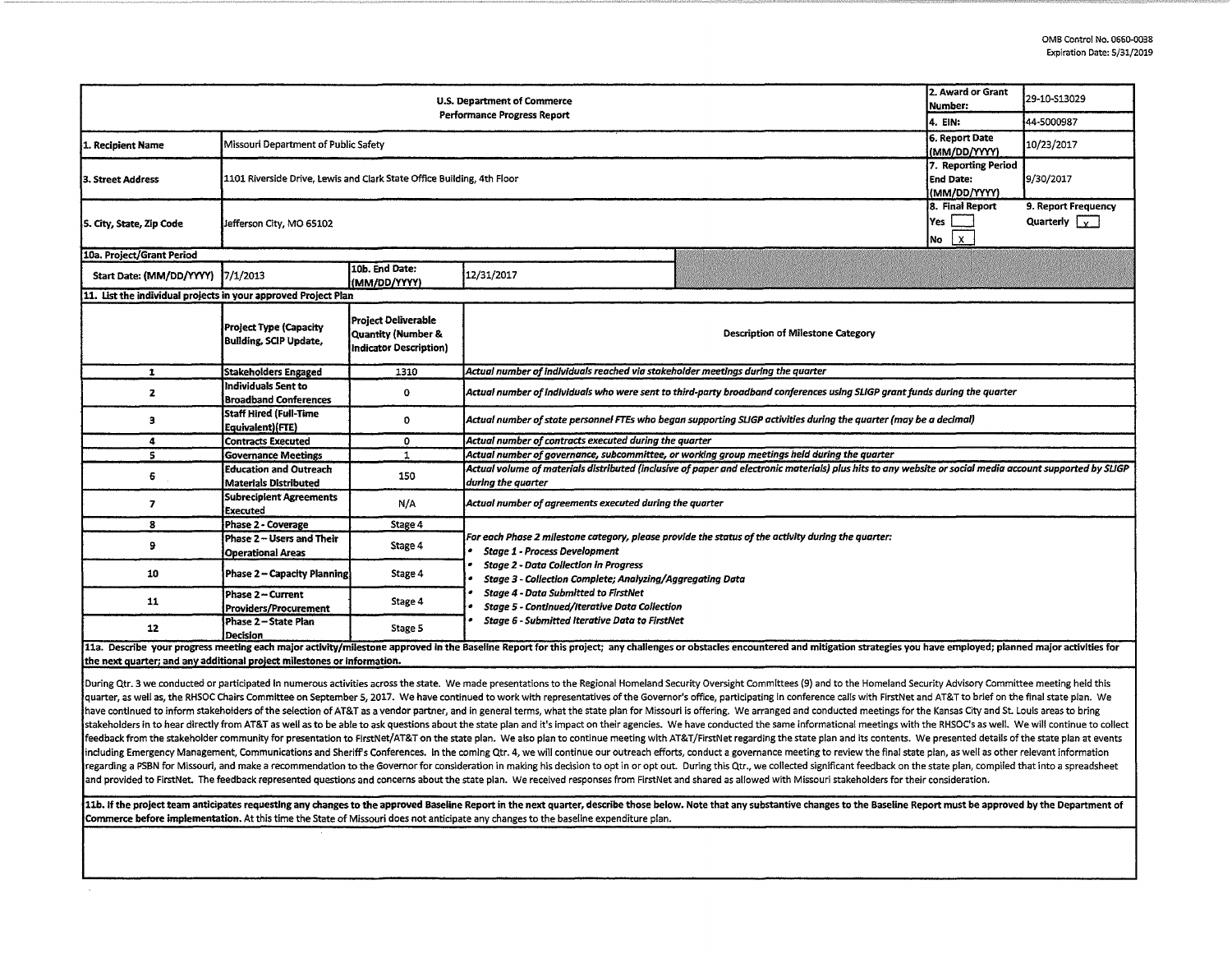|                                                                                                                                                                                                                                | 2. Award or Grant<br>Number:                                                                                                                        | 29-10-S13029                  |                                                                                                                                                          |                     |                                  |                      |  |  |  |
|--------------------------------------------------------------------------------------------------------------------------------------------------------------------------------------------------------------------------------|-----------------------------------------------------------------------------------------------------------------------------------------------------|-------------------------------|----------------------------------------------------------------------------------------------------------------------------------------------------------|---------------------|----------------------------------|----------------------|--|--|--|
| <b>U.S. Department of Commerce</b><br>Performance Progress Report<br>4. EIN:                                                                                                                                                   |                                                                                                                                                     |                               |                                                                                                                                                          |                     |                                  |                      |  |  |  |
|                                                                                                                                                                                                                                |                                                                                                                                                     |                               |                                                                                                                                                          |                     |                                  | 44-5000987           |  |  |  |
| Missouri Department of Public Safety<br>1. Recipient Name                                                                                                                                                                      |                                                                                                                                                     |                               |                                                                                                                                                          |                     | 6. Report Date                   | 10/23/2017           |  |  |  |
|                                                                                                                                                                                                                                |                                                                                                                                                     |                               |                                                                                                                                                          |                     | (MM/DD/YYYY)                     |                      |  |  |  |
|                                                                                                                                                                                                                                |                                                                                                                                                     |                               |                                                                                                                                                          | 7. Reporting Period |                                  |                      |  |  |  |
| 3. Street Address                                                                                                                                                                                                              | 1101 Riverside Drive, Lewis and Clark State Office Building, 4th Floor                                                                              |                               |                                                                                                                                                          |                     | <b>End Date:</b><br>(MM/DD/YYYY) | 9/30/2017            |  |  |  |
|                                                                                                                                                                                                                                |                                                                                                                                                     |                               |                                                                                                                                                          |                     |                                  |                      |  |  |  |
|                                                                                                                                                                                                                                | 8. Final Report<br>Yes<br>Jefferson City, MO 65102<br>No                                                                                            |                               |                                                                                                                                                          |                     |                                  | 9. Report Frequency  |  |  |  |
| 5. City, State, Zip Code                                                                                                                                                                                                       |                                                                                                                                                     |                               |                                                                                                                                                          |                     |                                  | Quarterly $\sqrt{ }$ |  |  |  |
|                                                                                                                                                                                                                                |                                                                                                                                                     |                               |                                                                                                                                                          |                     |                                  |                      |  |  |  |
| 10a. Project/Grant Period                                                                                                                                                                                                      |                                                                                                                                                     |                               |                                                                                                                                                          |                     |                                  |                      |  |  |  |
| Start Date: (MM/DD/YYYY)                                                                                                                                                                                                       | 7/1/2013                                                                                                                                            | 10b. End Date:                | 12/31/2017                                                                                                                                               |                     |                                  |                      |  |  |  |
|                                                                                                                                                                                                                                |                                                                                                                                                     | (MM/DD/YYYY)                  |                                                                                                                                                          |                     |                                  |                      |  |  |  |
| 11. List the individual projects in your approved Project Plan                                                                                                                                                                 |                                                                                                                                                     |                               |                                                                                                                                                          |                     |                                  |                      |  |  |  |
|                                                                                                                                                                                                                                |                                                                                                                                                     | <b>Project Deliverable</b>    |                                                                                                                                                          |                     |                                  |                      |  |  |  |
|                                                                                                                                                                                                                                | <b>Project Type (Capacity</b><br><b>Building, SCIP Update,</b>                                                                                      | Quantity (Number &            | <b>Description of Milestone Category</b>                                                                                                                 |                     |                                  |                      |  |  |  |
|                                                                                                                                                                                                                                |                                                                                                                                                     | <b>Indicator Description)</b> |                                                                                                                                                          |                     |                                  |                      |  |  |  |
|                                                                                                                                                                                                                                |                                                                                                                                                     |                               |                                                                                                                                                          |                     |                                  |                      |  |  |  |
| 1                                                                                                                                                                                                                              | <b>Stakeholders Engaged</b>                                                                                                                         | 1310                          | Actual number of individuals reached via stakeholder meetings during the quarter                                                                         |                     |                                  |                      |  |  |  |
| $\mathbf{z}$                                                                                                                                                                                                                   | Individuals Sent to                                                                                                                                 | 0                             | Actual number of individuals who were sent to third-party broadband conferences using SLIGP grant funds during the quarter                               |                     |                                  |                      |  |  |  |
|                                                                                                                                                                                                                                | <b>Broadband Conferences</b>                                                                                                                        |                               |                                                                                                                                                          |                     |                                  |                      |  |  |  |
| э                                                                                                                                                                                                                              | Staff Hired (Full-Time                                                                                                                              | o                             | Actual number of state personnel FTEs who began supporting SLIGP activities during the quarter (may be a decimal)                                        |                     |                                  |                      |  |  |  |
|                                                                                                                                                                                                                                | Equivalent)(FTE)                                                                                                                                    |                               |                                                                                                                                                          |                     |                                  |                      |  |  |  |
| 4                                                                                                                                                                                                                              | <b>Contracts Executed</b>                                                                                                                           | 0                             | Actual number of contracts executed during the quarter                                                                                                   |                     |                                  |                      |  |  |  |
| 5                                                                                                                                                                                                                              | <b>Governance Meetings</b>                                                                                                                          | $\mathbf{1}$                  | Actual number of governance, subcommittee, or working group meetings held during the quarter                                                             |                     |                                  |                      |  |  |  |
| 6                                                                                                                                                                                                                              | <b>Education and Outreach</b><br>Materials Distributed                                                                                              | 150                           | Actual volume of materials distributed (inclusive of paper and electronic materials) plus hits to any website or social media account supported by SLIGP |                     |                                  |                      |  |  |  |
|                                                                                                                                                                                                                                |                                                                                                                                                     |                               | during the quarter                                                                                                                                       |                     |                                  |                      |  |  |  |
| 7                                                                                                                                                                                                                              | <b>Subrecipient Agreements</b>                                                                                                                      | N/A                           | Actual number of agreements executed during the quarter                                                                                                  |                     |                                  |                      |  |  |  |
|                                                                                                                                                                                                                                | <b>Executed</b>                                                                                                                                     |                               |                                                                                                                                                          |                     |                                  |                      |  |  |  |
| 8                                                                                                                                                                                                                              | <b>Phase 2 - Coverage</b><br>Phase 2 - Users and Their                                                                                              | Stage 4                       | For each Phase 2 milestone category, please provide the status of the activity during the quarter:                                                       |                     |                                  |                      |  |  |  |
| 9                                                                                                                                                                                                                              |                                                                                                                                                     | Stage 4                       | <b>Stage 1 - Process Development</b>                                                                                                                     |                     |                                  |                      |  |  |  |
|                                                                                                                                                                                                                                | <b>Operational Areas</b>                                                                                                                            |                               |                                                                                                                                                          |                     |                                  |                      |  |  |  |
| 10                                                                                                                                                                                                                             | <b>Stage 2 - Data Collection in Progress</b><br>Phase 2 – Capacity Planning<br>Stage 4<br>Stage 3 - Collection Complete; Analyzing/Aggregating Data |                               |                                                                                                                                                          |                     |                                  |                      |  |  |  |
|                                                                                                                                                                                                                                |                                                                                                                                                     |                               | <b>Stage 4 - Data Submitted to FirstNet</b>                                                                                                              |                     |                                  |                      |  |  |  |
| 11                                                                                                                                                                                                                             | Phase 2 ~ Current<br>Providers/Procurement<br>Phase 2 - State Plan<br>Decision                                                                      | Stage 4<br>Stage 5            | <b>Stage 5 - Continued/Iterative Data Collection</b>                                                                                                     |                     |                                  |                      |  |  |  |
|                                                                                                                                                                                                                                |                                                                                                                                                     |                               | <b>Stage 6 - Submitted Iterative Data to FirstNet</b>                                                                                                    |                     |                                  |                      |  |  |  |
| 12                                                                                                                                                                                                                             |                                                                                                                                                     |                               |                                                                                                                                                          |                     |                                  |                      |  |  |  |
| 11a. Describe your progress meeting each major activity/milestone approved in the Baseline Report for this project; any challenges or obstacles encountered and mitigation strategies you have employed; planned major activit |                                                                                                                                                     |                               |                                                                                                                                                          |                     |                                  |                      |  |  |  |

**the next quarter; and any additional project milestones or Information.** \_\_

Puring Qtr. 3 we conducted or participated in numerous activities across the state. We made presentations to the Regional Homeland Security Oversight Committees (9) and to the Homeland Security Advisory Committee meeting h duarter, as well as, the RHSOC Chairs Committee on September 5, 2017. We have continued to work with representatives of the Governor's office, participating in conference calls with FirstNet and AT&T to brief on the final have continued to inform stakeholders of the selection of AT&T as a vendor partner, and in general terms, what the state plan for Missouri is offering. We arranged and conducted meetings for the Kansas City and St. Louis a stakeholders in to hear directly from AT&T as well as to be able to ask questions about the state plan and it's impact on their agencies. We have conducted the same informational meetings with the RHSOC's as well. We will feedback from the stakeholder community for presentation to FirstNet/AT&T on the state plan. We also plan to continue meeting with AT&T/FirstNet regarding the state plan and its contents. We presented details of the state including Emergency Management, Communications and Sheriff's Conferences. In the coming Qtr. 4, we will continue our outreach efforts, conduct a governance meeting to review the final state plan, as well as other relevant regarding a PSBN for Missouri, and make a recommendation to the Governor for consideration in making his decision to opt in or opt out. During this Qtr., we collected significant feedback on the state plan, compiled that i and provided to FirstNet. The feedback represented questions and concerns about the state plan. We received responses from FirstNet and shared as allowed with Missouri stakeholders for their consideration.

11b. If the project team anticipates requesting any changes to the approved Baseline Report in the next quarter, describe those below. Note that any substantive changes to the Baseline Report must be approved by the Depart Commerce before implementation. At this time the State of Missouri does not anticipate any changes to the baseline expenditure plan.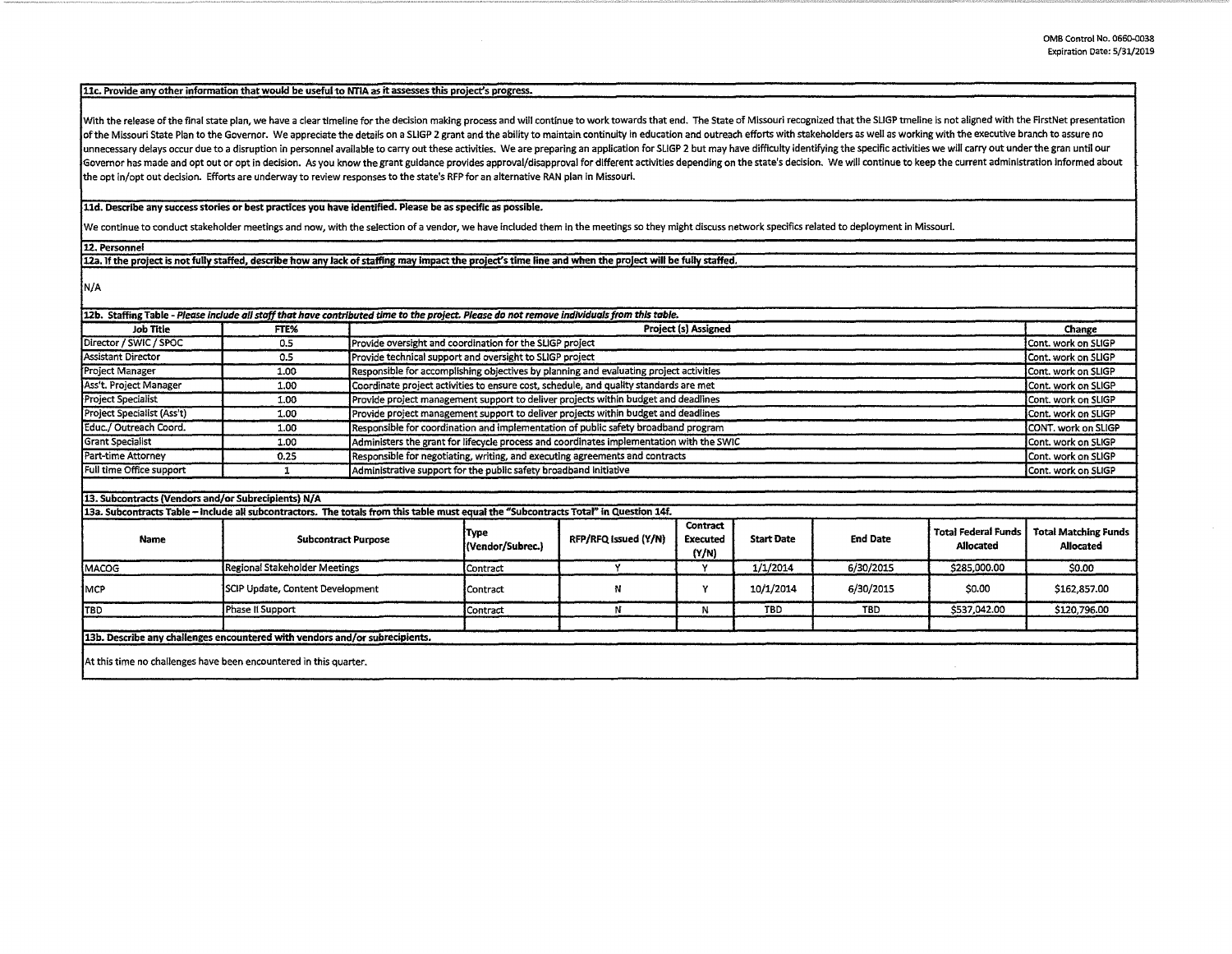## **llc. Provide any other information that would be useful to NTIA as it assesses this project's progress.**

With the release of the final state plan, we have a clear timeline for the decision making process and will continue to work towards that end. The State of Missouri recognized that the SLIGP tmeline is not aligned with the of the Missouri State Plan to the Governor. We appreciate the details on a SLIGP 2 grant and the ability to maintain continuity in education and outreach efforts with stakeholders as well as working with the executive bran unnecessary delays occur due to a disruption in personnel available to carry out these activities. We are preparing an application for SLIGP 2 but may have difficulty identifying the specific activities we will carry out u Governor has made and opt out or opt in decision. As you know the grant guidance provides approval/disapproval for different activities depending on the state's decision. We will continue to keep the current administration the opt in/opt out decision. Efforts are underway to review responses to the state's RFP for an alternative RAN plan In Missouri.

## **lld. Describe any success stories or best practices you have identified. Please be as specific as possible.**

We continue to conduct stakeholder meetings and now, with the selection of a vendor, we have included them In the meetings so they might discuss network specifics related to deployment in Missouri.

**12. Personnel** 

12a. If the project is not fully staffed, describe how any lack of staffing may impact the project's time line and when the project will be fully staffed.

N/A

| <b>Job Title</b>           | FTE%                                                                                                                                  | 12b. Staffing Table - Please include all staff that have contributed time to the project. Please do not remove individuals from this table.<br>Project (s) Assigned |                                                                                                     |                      |                                      |                   |                 |                                         | Change                                   |
|----------------------------|---------------------------------------------------------------------------------------------------------------------------------------|---------------------------------------------------------------------------------------------------------------------------------------------------------------------|-----------------------------------------------------------------------------------------------------|----------------------|--------------------------------------|-------------------|-----------------|-----------------------------------------|------------------------------------------|
| Director / SWIC / SPOC     | 0.5                                                                                                                                   |                                                                                                                                                                     | Provide oversight and coordination for the SLIGP project                                            |                      |                                      |                   |                 |                                         | Cont. work on SLIGP                      |
| Assistant Director         | 0.5                                                                                                                                   |                                                                                                                                                                     | Provide technical support and oversight to SLIGP project                                            |                      |                                      |                   |                 |                                         | Cont. work on SLIGP                      |
| Project Manager            | 1.00                                                                                                                                  |                                                                                                                                                                     | Responsible for accomplishing objectives by planning and evaluating project activities              |                      |                                      |                   |                 |                                         | Cont. work on SLIGP                      |
| Ass't. Project Manager     | 1.00                                                                                                                                  |                                                                                                                                                                     | Coordinate project activities to ensure cost, schedule, and quality standards are met               |                      |                                      |                   |                 |                                         | Cont. work on SLIGP                      |
| <b>Project Specialist</b>  | 1.00                                                                                                                                  |                                                                                                                                                                     | Provide project management support to deliver projects within budget and deadlines                  |                      |                                      |                   |                 |                                         | Cont. work on SLIGP                      |
| Project Specialist (Ass't) | 1.00                                                                                                                                  |                                                                                                                                                                     | Provide project management support to deliver projects within budget and deadlines                  |                      |                                      |                   |                 |                                         | Cont. work on SLIGP                      |
| Educ./ Outreach Coord.     | 1.00                                                                                                                                  |                                                                                                                                                                     | Responsible for coordination and implementation of public safety broadband program                  |                      |                                      |                   |                 |                                         | CONT, work on SLIGP                      |
| <b>Grant Specialist</b>    | 1.00                                                                                                                                  |                                                                                                                                                                     | Administers the grant for lifecycle process and coordinates implementation with the SWIC            |                      |                                      |                   |                 |                                         | Cont. work on SLIGP                      |
| Part-time Attorney         | 0.25                                                                                                                                  |                                                                                                                                                                     | Responsible for negotiating, writing, and executing agreements and contracts<br>Cont. work on SLIGP |                      |                                      |                   |                 |                                         |                                          |
| Full time Office support   |                                                                                                                                       |                                                                                                                                                                     | Administrative support for the public safety broadband initiative<br>Cont. work on SLIGP            |                      |                                      |                   |                 |                                         |                                          |
|                            |                                                                                                                                       |                                                                                                                                                                     |                                                                                                     |                      |                                      |                   |                 |                                         |                                          |
|                            | 13. Subcontracts (Vendors and/or Subrecipients) N/A                                                                                   |                                                                                                                                                                     |                                                                                                     |                      |                                      |                   |                 |                                         |                                          |
|                            | 13a. Subcontracts Table - include all subcontractors. The totals from this table must equal the "Subcontracts Total" in Question 14f. |                                                                                                                                                                     |                                                                                                     |                      |                                      |                   |                 |                                         |                                          |
| <b>Name</b>                |                                                                                                                                       | <b>Subcontract Purpose</b>                                                                                                                                          |                                                                                                     | RFP/RFQ Issued (Y/N) | Contract<br><b>Executed</b><br>(Y/N) | <b>Start Date</b> | <b>End Date</b> | <b>Total Federal Funds</b><br>Allocated | <b>Total Matching Funds</b><br>Allocated |
| MACOG                      |                                                                                                                                       | Regional Stakeholder Meetings                                                                                                                                       |                                                                                                     |                      | Υ                                    | 1/1/2014          | 6/30/2015       | \$285,000.00                            | \$0.00                                   |
| Імср                       |                                                                                                                                       | SCIP Update, Content Development                                                                                                                                    |                                                                                                     | N                    | Υ                                    | 10/1/2014         | 6/30/2015       | \$0.00                                  | \$162,857.00                             |
| TBD.                       | Phase II Support                                                                                                                      |                                                                                                                                                                     |                                                                                                     | N                    | N                                    | TBD.              | <b>TBD</b>      | \$537,042.00                            | \$120,796.00                             |
|                            |                                                                                                                                       |                                                                                                                                                                     |                                                                                                     |                      |                                      |                   |                 |                                         |                                          |
|                            | 13b. Describe any challenges encountered with vendors and/or subrecipients.                                                           |                                                                                                                                                                     |                                                                                                     |                      |                                      |                   |                 |                                         |                                          |
|                            | At this time no challenges have been encountered in this quarter.                                                                     |                                                                                                                                                                     |                                                                                                     |                      |                                      |                   |                 |                                         |                                          |